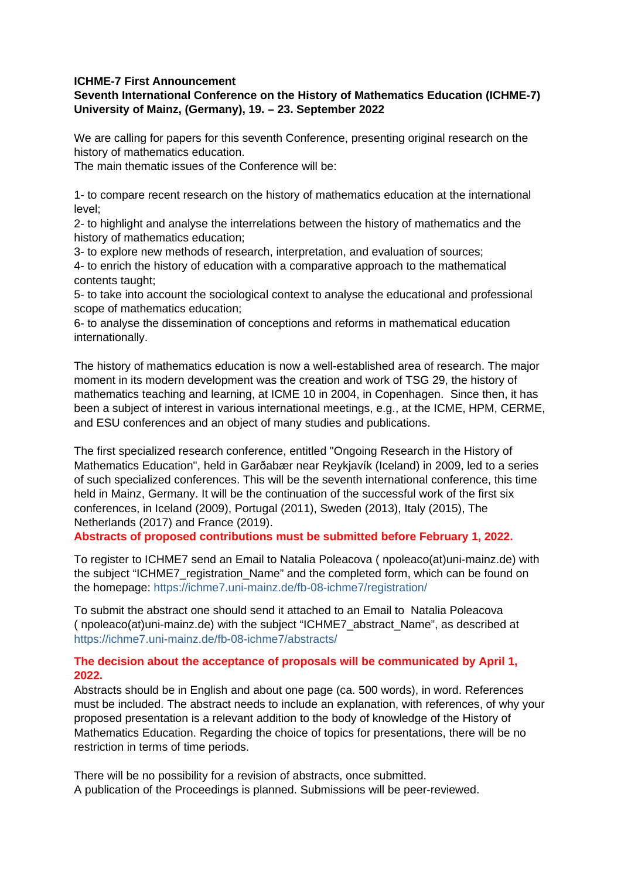#### **ICHME-7 First Announcement**

# **Seventh International Conference on the History of Mathematics Education (ICHME-7) University of Mainz, (Germany), 19. – 23. September 2022**

We are calling for papers for this seventh Conference, presenting original research on the history of mathematics education.

The main thematic issues of the Conference will be:

1- to compare recent research on the history of mathematics education at the international level;

2- to highlight and analyse the interrelations between the history of mathematics and the history of mathematics education;

3- to explore new methods of research, interpretation, and evaluation of sources;

4- to enrich the history of education with a comparative approach to the mathematical contents taught;

5- to take into account the sociological context to analyse the educational and professional scope of mathematics education;

6- to analyse the dissemination of conceptions and reforms in mathematical education internationally.

The history of mathematics education is now a well-established area of research. The major moment in its modern development was the creation and work of TSG 29, the history of mathematics teaching and learning, at ICME 10 in 2004, in Copenhagen. Since then, it has been a subject of interest in various international meetings, e.g., at the ICME, HPM, CERME, and ESU conferences and an object of many studies and publications.

The first specialized research conference, entitled "Ongoing Research in the History of Mathematics Education", held in Garðabær near Reykjavík (Iceland) in 2009, led to a series of such specialized conferences. This will be the seventh international conference, this time held in Mainz, Germany. It will be the continuation of the successful work of the first six conferences, in Iceland (2009), Portugal (2011), Sweden (2013), Italy (2015), The Netherlands (2017) and France (2019).

**Abstracts of proposed contributions must be submitted before February 1, 2022.**

To register to ICHME7 send an Email to Natalia Poleacova ( npoleaco(at)uni-mainz.de) with the subject "ICHME7 registration Name" and the completed form, which can be found on the homepage: https://ichme7.uni-mainz.de/fb-08-ichme7/registration/

To submit the abstract one should send it attached to an Email to Natalia Poleacova ( npoleaco(at)uni-mainz.de) with the subject "ICHME7\_abstract\_Name", as described at https://ichme7.uni-mainz.de/fb-08-ichme7/abstracts/

## **The decision about the acceptance of proposals will be communicated by April 1, 2022.**

Abstracts should be in English and about one page (ca. 500 words), in word. References must be included. The abstract needs to include an explanation, with references, of why your proposed presentation is a relevant addition to the body of knowledge of the History of Mathematics Education. Regarding the choice of topics for presentations, there will be no restriction in terms of time periods.

There will be no possibility for a revision of abstracts, once submitted. A publication of the Proceedings is planned. Submissions will be peer-reviewed.